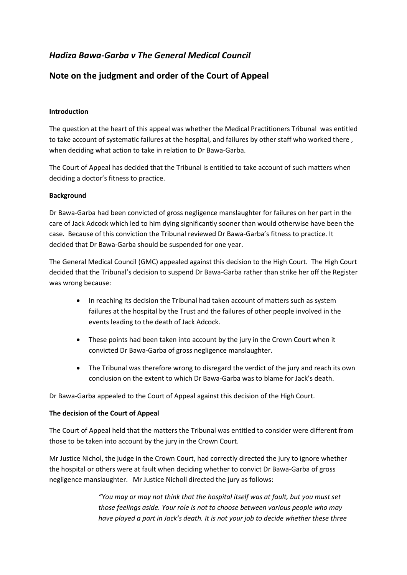# *Hadiza Bawa-Garba v The General Medical Council*

## **Note on the judgment and order of the Court of Appeal**

### **Introduction**

The question at the heart of this appeal was whether the Medical Practitioners Tribunal was entitled to take account of systematic failures at the hospital, and failures by other staff who worked there , when deciding what action to take in relation to Dr Bawa-Garba.

The Court of Appeal has decided that the Tribunal is entitled to take account of such matters when deciding a doctor's fitness to practice.

#### **Background**

Dr Bawa-Garba had been convicted of gross negligence manslaughter for failures on her part in the care of Jack Adcock which led to him dying significantly sooner than would otherwise have been the case. Because of this conviction the Tribunal reviewed Dr Bawa-Garba's fitness to practice. It decided that Dr Bawa-Garba should be suspended for one year.

The General Medical Council (GMC) appealed against this decision to the High Court. The High Court decided that the Tribunal's decision to suspend Dr Bawa-Garba rather than strike her off the Register was wrong because:

- In reaching its decision the Tribunal had taken account of matters such as system failures at the hospital by the Trust and the failures of other people involved in the events leading to the death of Jack Adcock.
- These points had been taken into account by the jury in the Crown Court when it convicted Dr Bawa-Garba of gross negligence manslaughter.
- The Tribunal was therefore wrong to disregard the verdict of the jury and reach its own conclusion on the extent to which Dr Bawa-Garba was to blame for Jack's death.

Dr Bawa-Garba appealed to the Court of Appeal against this decision of the High Court.

#### **The decision of the Court of Appeal**

The Court of Appeal held that the matters the Tribunal was entitled to consider were different from those to be taken into account by the jury in the Crown Court.

Mr Justice Nichol, the judge in the Crown Court, had correctly directed the jury to ignore whether the hospital or others were at fault when deciding whether to convict Dr Bawa-Garba of gross negligence manslaughter. Mr Justice Nicholl directed the jury as follows:

> *"You may or may not think that the hospital itself was at fault, but you must set those feelings aside. Your role is not to choose between various people who may have played a part in Jack's death. It is not your job to decide whether these three*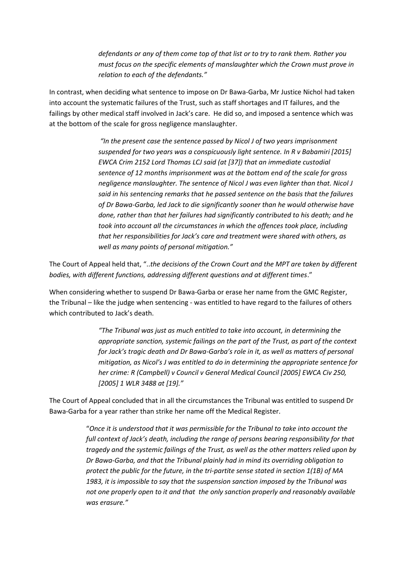*defendants or any of them come top of that list or to try to rank them. Rather you must focus on the specific elements of manslaughter which the Crown must prove in relation to each of the defendants."*

In contrast, when deciding what sentence to impose on Dr Bawa-Garba, Mr Justice Nichol had taken into account the systematic failures of the Trust, such as staff shortages and IT failures, and the failings by other medical staff involved in Jack's care. He did so, and imposed a sentence which was at the bottom of the scale for gross negligence manslaughter.

> *"In the present case the sentence passed by Nicol J of two years imprisonment suspended for two years was a conspicuously light sentence. In R v Babamiri [2015] EWCA Crim 2152 Lord Thomas LCJ said (at [37]) that an immediate custodial sentence of 12 months imprisonment was at the bottom end of the scale for gross negligence manslaughter. The sentence of Nicol J was even lighter than that. Nicol J said in his sentencing remarks that he passed sentence on the basis that the failures of Dr Bawa-Garba, led Jack to die significantly sooner than he would otherwise have done, rather than that her failures had significantly contributed to his death; and he took into account all the circumstances in which the offences took place, including that her responsibilities for Jack's care and treatment were shared with others, as well as many points of personal mitigation."*

The Court of Appeal held that, "..*the decisions of the Crown Court and the MPT are taken by different bodies, with different functions, addressing different questions and at different times*."

When considering whether to suspend Dr Bawa-Garba or erase her name from the GMC Register, the Tribunal – like the judge when sentencing - was entitled to have regard to the failures of others which contributed to Jack's death.

> *"The Tribunal was just as much entitled to take into account, in determining the appropriate sanction, systemic failings on the part of the Trust, as part of the context for Jack's tragic death and Dr Bawa-Garba's role in it, as well as matters of personal mitigation, as Nicol's J was entitled to do in determining the appropriate sentence for her crime: R (Campbell) v Council v General Medical Council [2005] EWCA Civ 250, [2005] 1 WLR 3488 at [19]."*

The Court of Appeal concluded that in all the circumstances the Tribunal was entitled to suspend Dr Bawa-Garba for a year rather than strike her name off the Medical Register.

> "*Once it is understood that it was permissible for the Tribunal to take into account the full context of Jack's death, including the range of persons bearing responsibility for that tragedy and the systemic failings of the Trust, as well as the other matters relied upon by Dr Bawa-Garba, and that the Tribunal plainly had in mind its overriding obligation to protect the public for the future, in the tri-partite sense stated in section 1(1B) of MA 1983, it is impossible to say that the suspension sanction imposed by the Tribunal was not one properly open to it and that the only sanction properly and reasonably available was erasure."*